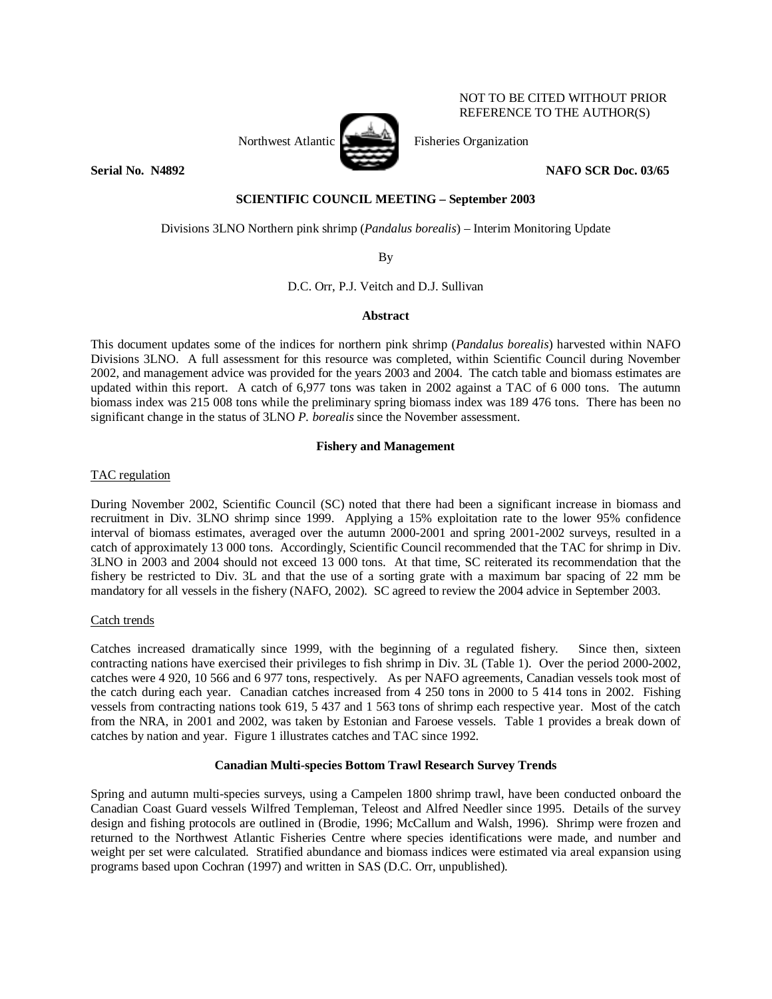

NOT TO BE CITED WITHOUT PRIOR REFERENCE TO THE AUTHOR(S)

**Serial No. N4892** NAFO SCR Doc. 03/65

# **SCIENTIFIC COUNCIL MEETING – September 2003**

Divisions 3LNO Northern pink shrimp (*Pandalus borealis*) – Interim Monitoring Update

By

D.C. Orr, P.J. Veitch and D.J. Sullivan

# **Abstract**

This document updates some of the indices for northern pink shrimp (*Pandalus borealis*) harvested within NAFO Divisions 3LNO. A full assessment for this resource was completed, within Scientific Council during November 2002, and management advice was provided for the years 2003 and 2004. The catch table and biomass estimates are updated within this report. A catch of 6,977 tons was taken in 2002 against a TAC of 6 000 tons. The autumn biomass index was 215 008 tons while the preliminary spring biomass index was 189 476 tons. There has been no significant change in the status of 3LNO *P. borealis* since the November assessment.

# **Fishery and Management**

TAC regulation

During November 2002, Scientific Council (SC) noted that there had been a significant increase in biomass and recruitment in Div. 3LNO shrimp since 1999. Applying a 15% exploitation rate to the lower 95% confidence interval of biomass estimates, averaged over the autumn 2000-2001 and spring 2001-2002 surveys, resulted in a catch of approximately 13 000 tons. Accordingly, Scientific Council recommended that the TAC for shrimp in Div. 3LNO in 2003 and 2004 should not exceed 13 000 tons. At that time, SC reiterated its recommendation that the fishery be restricted to Div. 3L and that the use of a sorting grate with a maximum bar spacing of 22 mm be mandatory for all vessels in the fishery (NAFO, 2002). SC agreed to review the 2004 advice in September 2003.

## Catch trends

Catches increased dramatically since 1999, with the beginning of a regulated fishery. Since then, sixteen contracting nations have exercised their privileges to fish shrimp in Div. 3L (Table 1). Over the period 2000-2002, catches were 4 920, 10 566 and 6 977 tons, respectively. As per NAFO agreements, Canadian vessels took most of the catch during each year. Canadian catches increased from 4 250 tons in 2000 to 5 414 tons in 2002. Fishing vessels from contracting nations took 619, 5 437 and 1 563 tons of shrimp each respective year. Most of the catch from the NRA, in 2001 and 2002, was taken by Estonian and Faroese vessels. Table 1 provides a break down of catches by nation and year. Figure 1 illustrates catches and TAC since 1992.

## **Canadian Multi-species Bottom Trawl Research Survey Trends**

Spring and autumn multi-species surveys, using a Campelen 1800 shrimp trawl, have been conducted onboard the Canadian Coast Guard vessels Wilfred Templeman, Teleost and Alfred Needler since 1995. Details of the survey design and fishing protocols are outlined in (Brodie, 1996; McCallum and Walsh, 1996). Shrimp were frozen and returned to the Northwest Atlantic Fisheries Centre where species identifications were made, and number and weight per set were calculated. Stratified abundance and biomass indices were estimated via areal expansion using programs based upon Cochran (1997) and written in SAS (D.C. Orr, unpublished).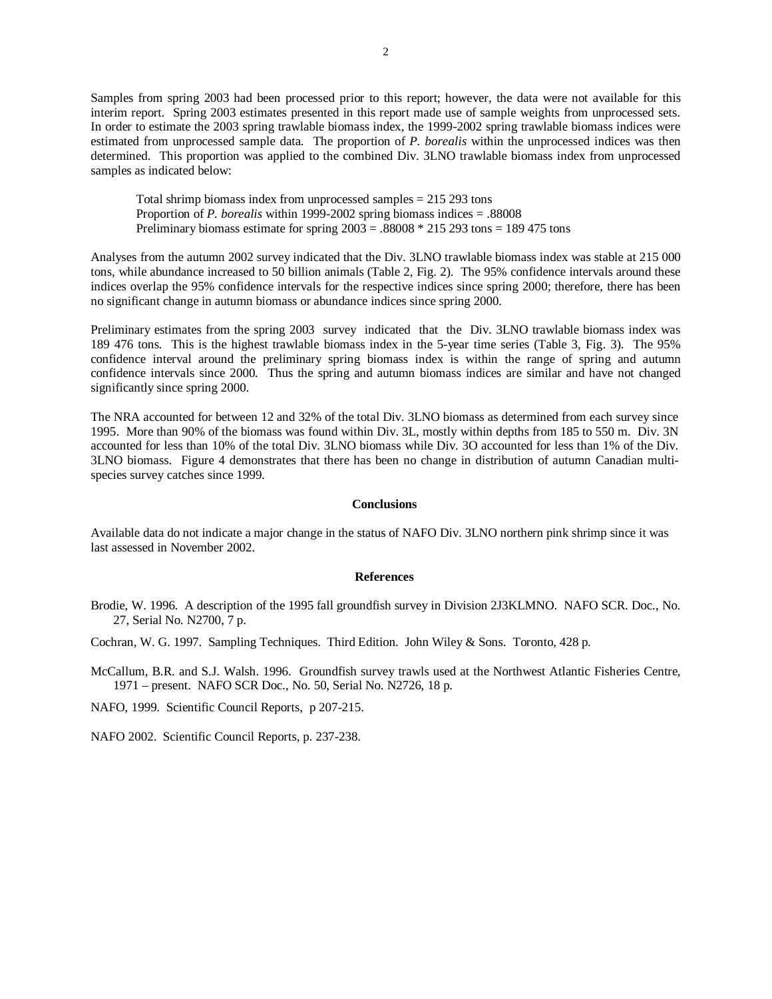Samples from spring 2003 had been processed prior to this report; however, the data were not available for this interim report. Spring 2003 estimates presented in this report made use of sample weights from unprocessed sets. In order to estimate the 2003 spring trawlable biomass index, the 1999-2002 spring trawlable biomass indices were estimated from unprocessed sample data. The proportion of *P. borealis* within the unprocessed indices was then determined. This proportion was applied to the combined Div. 3LNO trawlable biomass index from unprocessed samples as indicated below:

Total shrimp biomass index from unprocessed samples = 215 293 tons Proportion of *P. borealis* within 1999-2002 spring biomass indices = .88008 Preliminary biomass estimate for spring  $2003 = .88008 * 215293$  tons = 189 475 tons

Analyses from the autumn 2002 survey indicated that the Div. 3LNO trawlable biomass index was stable at 215 000 tons, while abundance increased to 50 billion animals (Table 2, Fig. 2). The 95% confidence intervals around these indices overlap the 95% confidence intervals for the respective indices since spring 2000; therefore, there has been no significant change in autumn biomass or abundance indices since spring 2000.

Preliminary estimates from the spring 2003 survey indicated that the Div. 3LNO trawlable biomass index was 189 476 tons. This is the highest trawlable biomass index in the 5-year time series (Table 3, Fig. 3). The 95% confidence interval around the preliminary spring biomass index is within the range of spring and autumn confidence intervals since 2000. Thus the spring and autumn biomass indices are similar and have not changed significantly since spring 2000.

The NRA accounted for between 12 and 32% of the total Div. 3LNO biomass as determined from each survey since 1995. More than 90% of the biomass was found within Div. 3L, mostly within depths from 185 to 550 m. Div. 3N accounted for less than 10% of the total Div. 3LNO biomass while Div. 3O accounted for less than 1% of the Div. 3LNO biomass. Figure 4 demonstrates that there has been no change in distribution of autumn Canadian multispecies survey catches since 1999.

#### **Conclusions**

Available data do not indicate a major change in the status of NAFO Div. 3LNO northern pink shrimp since it was last assessed in November 2002.

### **References**

Brodie, W. 1996. A description of the 1995 fall groundfish survey in Division 2J3KLMNO. NAFO SCR. Doc., No. 27, Serial No. N2700, 7 p.

Cochran, W. G. 1997. Sampling Techniques. Third Edition. John Wiley & Sons. Toronto, 428 p.

McCallum, B.R. and S.J. Walsh. 1996. Groundfish survey trawls used at the Northwest Atlantic Fisheries Centre, 1971 – present. NAFO SCR Doc., No. 50, Serial No. N2726, 18 p.

NAFO, 1999. Scientific Council Reports, p 207-215.

NAFO 2002. Scientific Council Reports, p. 237-238.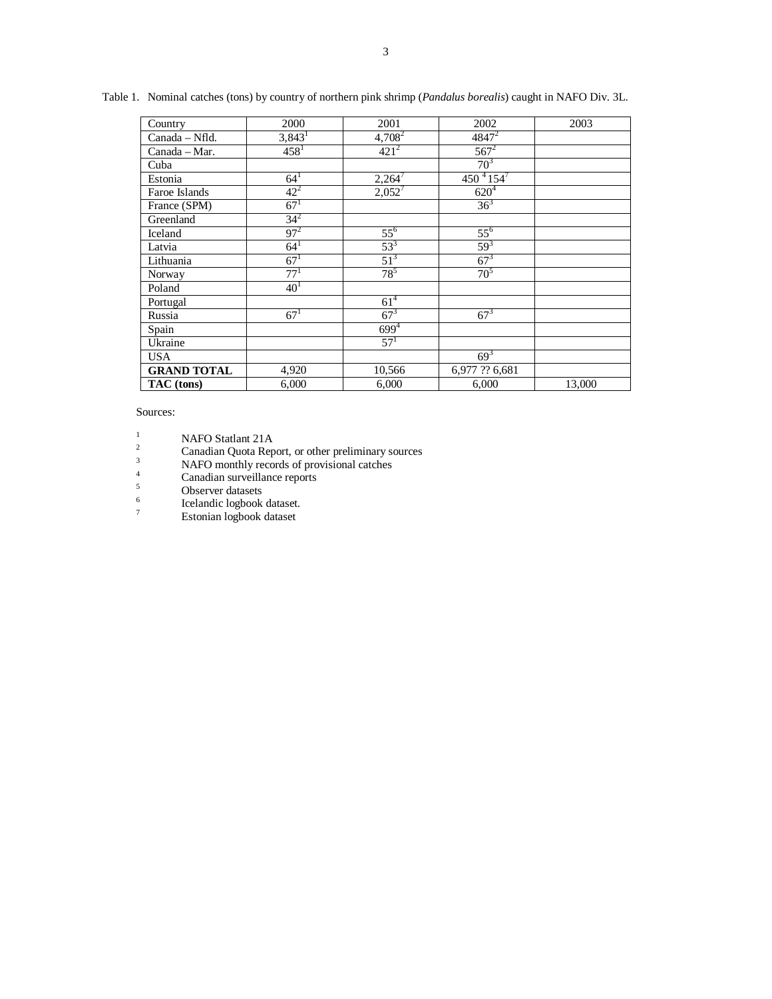| Country            | 2000                 | 2001                | 2002                        | 2003   |
|--------------------|----------------------|---------------------|-----------------------------|--------|
| Canada - Nfld.     | $3,843$ <sup>1</sup> | $4,708^2$           | $4847^2$                    |        |
| Canada - Mar.      | $458^1$              | $421^{2}$           | $567^2$                     |        |
| Cuba               |                      |                     | 70 <sup>3</sup>             |        |
| Estonia            | $64^{1}$             | $2,264^7$           | 450 $^{4}$ 154 <sup>7</sup> |        |
| Faroe Islands      | $42^{2}$             | $2,052^7$           | $620^{4}$                   |        |
| France (SPM)       | $67^{1}$             |                     | $36^{3}$                    |        |
| Greenland          | $34^{2}$             |                     |                             |        |
| Iceland            | $97^{2}$             | $55^{6}$            | $55^{6}$                    |        |
| Latvia             | $64^{1}$             | $\frac{53^3}{51^3}$ | $59^{3}$                    |        |
| Lithuania          | $67^{1}$             |                     | $67^{3}$                    |        |
| Norway             | 77 <sup>1</sup>      | $78^{5}$            | 70 <sup>5</sup>             |        |
| Poland             | 40 <sup>1</sup>      |                     |                             |        |
| Portugal           |                      | 61 <sup>4</sup>     |                             |        |
| Russia             | $67^{1}$             | $67^{3}$            | $67^{3}$                    |        |
| Spain              |                      | $699^{4}$           |                             |        |
| Ukraine            |                      | $57^{1}$            |                             |        |
| <b>USA</b>         |                      |                     | $69^{3}$                    |        |
| <b>GRAND TOTAL</b> | 4,920                | 10,566              | 6,977 ?? 6,681              |        |
| TAC (tons)         | 6,000                | 6,000               | 6,000                       | 13,000 |

Table 1. Nominal catches (tons) by country of northern pink shrimp (*Pandalus borealis*) caught in NAFO Div. 3L.

Sources:

<sup>1</sup><br>
<sup>2</sup> Canadian Quota Report, or other preliminary sources<br>
<sup>3</sup> NAEO monthly records of provisional others

 $NAFO$  monthly records of provisional catches

 $\frac{4}{5}$  Canadian surveillance reports

Observer datasets

6 Icelandic logbook dataset.

7 Estonian logbook dataset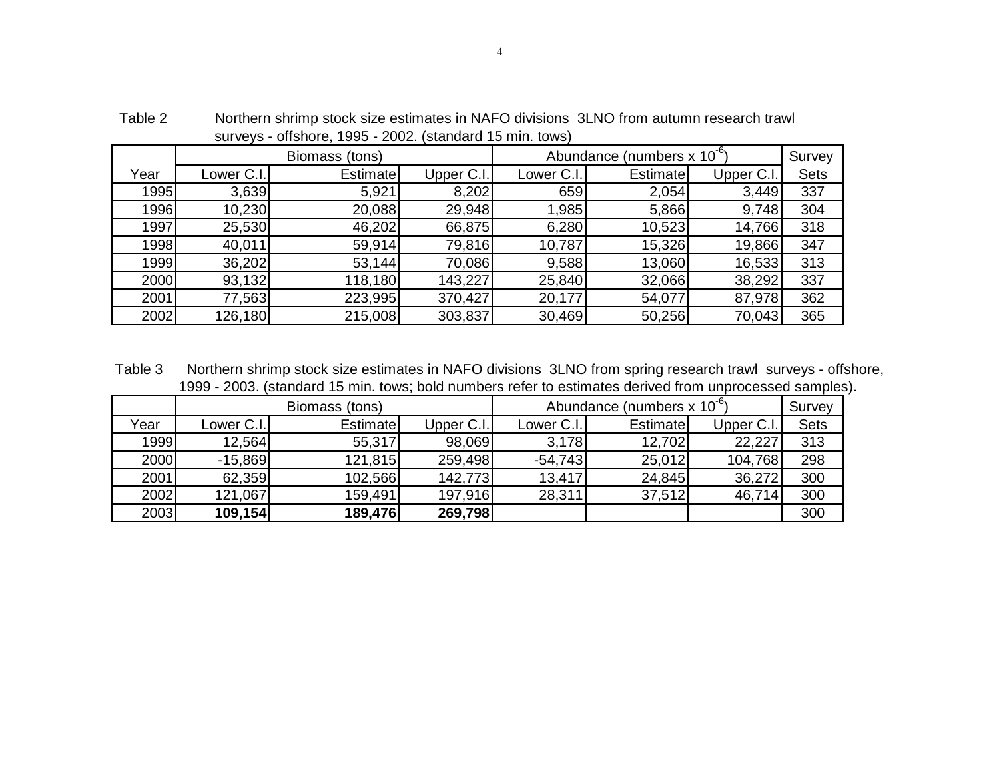|      |            | Biomass (tons)  |            | Abundance (numbers x 10 <sup>-6</sup> ) | Survey   |           |             |
|------|------------|-----------------|------------|-----------------------------------------|----------|-----------|-------------|
| Year | Lower C.I. | <b>Estimate</b> | Upper C.I. | Lower C.I.                              | Estimate | Upper C.I | <b>Sets</b> |
| 1995 | 3,639      | 5,921           | 8,202      | 659                                     | 2,054    | 3,449     | 337         |
| 1996 | 10,230     | 20,088          | 29,948     | 1,985                                   | 5,866    | 9,748     | 304         |
| 1997 | 25,530     | 46,202          | 66,875     | 6,280                                   | 10,523   | 14,766    | 318         |
| 1998 | 40,011     | 59,914          | 79,816     | 10,787                                  | 15,326   | 19,866    | 347         |
| 1999 | 36,202     | 53,144          | 70,086     | 9,588                                   | 13,060   | 16,533    | 313         |
| 2000 | 93,132     | 118,180         | 143,227    | 25,840                                  | 32,066   | 38,292    | 337         |
| 2001 | 77,563     | 223,995         | 370,427    | 20,177                                  | 54,077   | 87,978    | 362         |
| 2002 | 126,180    | 215,008         | 303,837    | 30,469                                  | 50,256   | 70,043    | 365         |

 Table 2 Northern shrimp stock size estimates in NAFO divisions 3LNO from autumn research trawl surveys - offshore, 1995 - 2002. (standard 15 min. tows)

 1999 - 2003. (standard 15 min. tows; bold numbers refer to estimates derived from unprocessed samples). Table 3 Northern shrimp stock size estimates in NAFO divisions 3LNO from spring research trawl surveys - offshore,

|      |            | Biomass (tons) |            | Abundance (numbers $x 10^{-6}$ ) | Survey          |            |             |
|------|------------|----------------|------------|----------------------------------|-----------------|------------|-------------|
| Year | Lower C.I. | Estimatel      | Upper C.I. | Lower C.I.                       | <b>Estimate</b> | Upper C.I. | <b>Sets</b> |
| 1999 | 12,564     | 55,317         | 98,069     | 3,178                            | 12,702          | 22,227     | 313         |
| 2000 | $-15,869$  | 121,815        | 259,498    | $-54,743$                        | 25,012          | 104,768    | 298         |
| 2001 | 62,359     | 102,566        | 142,773    | 13,417                           | 24,845          | 36,272     | 300         |
| 2002 | 121,067    | 159,491        | 197,916    | 28,311                           | 37,512          | 46,714     | 300         |
| 2003 | 109,154    | 189,476        | 269,798    |                                  |                 |            | 300         |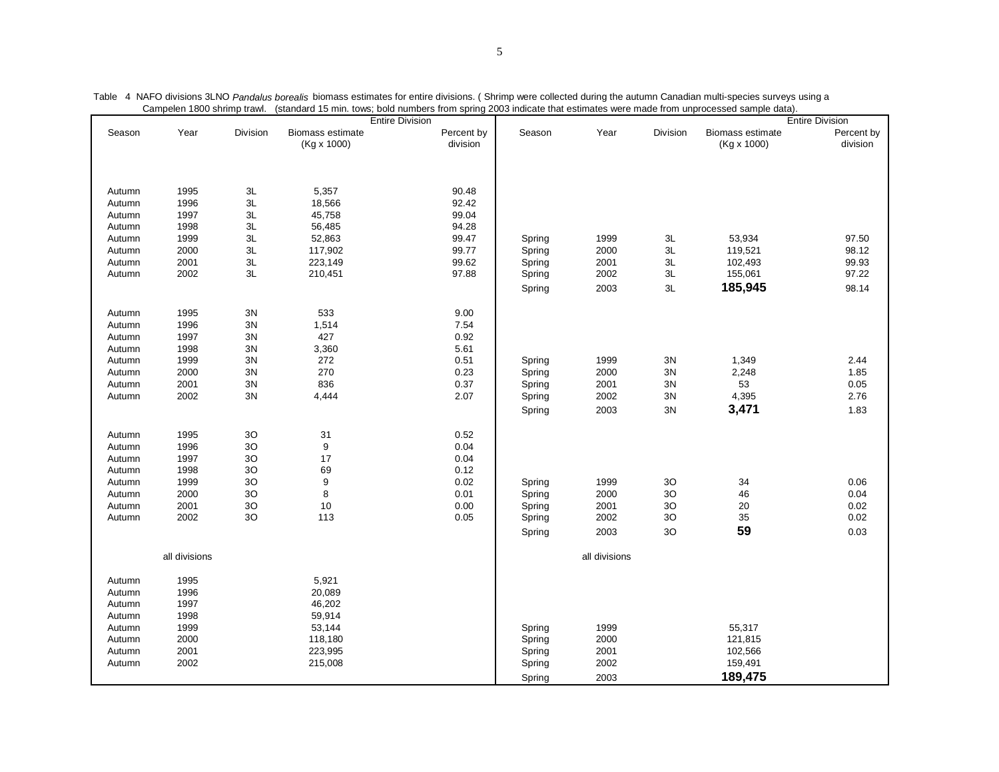|        |               |                | Vampoion Tour Simmip trawi. (Standard TV min. tuws, Duld numbers num spinly 2000 multate that collitates were made num unprotessed sample data). | <b>Entire Division</b> |                        |        |               |               |                                 | <b>Entire Division</b> |
|--------|---------------|----------------|--------------------------------------------------------------------------------------------------------------------------------------------------|------------------------|------------------------|--------|---------------|---------------|---------------------------------|------------------------|
| Season | Year          | Division       | Biomass estimate<br>(Kg x 1000)                                                                                                                  |                        | Percent by<br>division | Season | Year          | Division      | Biomass estimate<br>(Kg x 1000) | Percent by<br>division |
| Autumn | 1995          | 3L             | 5,357                                                                                                                                            |                        | 90.48                  |        |               |               |                                 |                        |
| Autumn | 1996          | 3L             | 18,566                                                                                                                                           |                        | 92.42                  |        |               |               |                                 |                        |
| Autumn | 1997          | 3L             | 45,758                                                                                                                                           |                        | 99.04                  |        |               |               |                                 |                        |
| Autumn | 1998          | 3L             | 56,485                                                                                                                                           |                        | 94.28                  |        |               |               |                                 |                        |
| Autumn | 1999          | 3L             | 52,863                                                                                                                                           |                        | 99.47                  | Spring | 1999          | 3L            | 53,934                          | 97.50                  |
| Autumn | 2000          | $3\mathsf{L}$  | 117,902                                                                                                                                          |                        | 99.77                  | Spring | 2000          | $3\mathsf{L}$ | 119,521                         | 98.12                  |
| Autumn | 2001          | 3L             | 223,149                                                                                                                                          |                        | 99.62                  | Spring | 2001          | 3L            | 102,493                         | 99.93                  |
| Autumn | 2002          | 3L             | 210,451                                                                                                                                          |                        | 97.88                  | Spring | 2002          | 3L            | 155,061                         | 97.22                  |
|        |               |                |                                                                                                                                                  |                        |                        | Spring | 2003          | $3\mathsf{L}$ | 185,945                         | 98.14                  |
| Autumn | 1995          | 3N             | 533                                                                                                                                              |                        | 9.00                   |        |               |               |                                 |                        |
| Autumn | 1996          | $3\mathrm{N}$  | 1,514                                                                                                                                            |                        | 7.54                   |        |               |               |                                 |                        |
| Autumn | 1997          | 3N             | 427                                                                                                                                              |                        | 0.92                   |        |               |               |                                 |                        |
| Autumn | 1998          | 3N             | 3,360                                                                                                                                            |                        | 5.61                   |        |               |               |                                 |                        |
| Autumn | 1999          | 3N             | 272                                                                                                                                              |                        | 0.51                   | Spring | 1999          | $3N$          | 1,349                           | 2.44                   |
| Autumn | 2000          | 3N             | 270                                                                                                                                              |                        | 0.23                   | Spring | 2000          | 3N            | 2,248                           | 1.85                   |
| Autumn | 2001          | 3N             | 836                                                                                                                                              |                        | 0.37                   | Spring | 2001          | 3N            | 53                              | 0.05                   |
| Autumn | 2002          | $3N$           | 4,444                                                                                                                                            |                        | 2.07                   | Spring | 2002          | 3N            | 4,395                           | 2.76                   |
|        |               |                |                                                                                                                                                  |                        |                        | Spring | 2003          | $3N$          | 3,471                           | 1.83                   |
|        |               |                |                                                                                                                                                  |                        |                        |        |               |               |                                 |                        |
| Autumn | 1995          | 3O             | 31                                                                                                                                               |                        | 0.52                   |        |               |               |                                 |                        |
| Autumn | 1996          | 3O             | 9                                                                                                                                                |                        | 0.04                   |        |               |               |                                 |                        |
| Autumn | 1997          | 3 <sub>O</sub> | 17                                                                                                                                               |                        | 0.04                   |        |               |               |                                 |                        |
| Autumn | 1998          | $3{\rm O}$     | 69                                                                                                                                               |                        | 0.12                   |        |               |               |                                 |                        |
| Autumn | 1999          | 3O             | 9                                                                                                                                                |                        | 0.02                   | Spring | 1999          | 30            | 34                              | 0.06                   |
| Autumn | 2000          | 3O             | $\bf 8$                                                                                                                                          |                        | 0.01                   | Spring | 2000          | 30            | 46                              | 0.04                   |
| Autumn | 2001          | $3{\rm O}$     | 10                                                                                                                                               |                        | 0.00                   | Spring | 2001          | $3{\rm O}$    | $20\,$                          | 0.02                   |
| Autumn | 2002          | 30             | 113                                                                                                                                              |                        | 0.05                   | Spring | 2002          | 30            | 35                              | 0.02                   |
|        |               |                |                                                                                                                                                  |                        |                        | Spring | 2003          | 30            | 59                              | 0.03                   |
|        | all divisions |                |                                                                                                                                                  |                        |                        |        | all divisions |               |                                 |                        |
| Autumn | 1995          |                | 5,921                                                                                                                                            |                        |                        |        |               |               |                                 |                        |
| Autumn | 1996          |                | 20,089                                                                                                                                           |                        |                        |        |               |               |                                 |                        |
| Autumn | 1997          |                | 46,202                                                                                                                                           |                        |                        |        |               |               |                                 |                        |
| Autumn | 1998          |                | 59,914                                                                                                                                           |                        |                        |        |               |               |                                 |                        |
| Autumn | 1999          |                | 53,144                                                                                                                                           |                        |                        | Spring | 1999          |               | 55,317                          |                        |
| Autumn | 2000          |                | 118,180                                                                                                                                          |                        |                        | Spring | 2000          |               | 121,815                         |                        |
| Autumn | 2001          |                | 223,995                                                                                                                                          |                        |                        | Spring | 2001          |               | 102,566                         |                        |
| Autumn | 2002          |                | 215,008                                                                                                                                          |                        |                        | Spring | 2002          |               | 159,491                         |                        |
|        |               |                |                                                                                                                                                  |                        |                        | Spring | 2003          |               | 189,475                         |                        |

| Table 4 NAFO divisions 3LNO Pandalus borealis biomass estimates for entire divisions. (Shrimp were collected during the autumn Canadian multi-species surveys using a |  |
|-----------------------------------------------------------------------------------------------------------------------------------------------------------------------|--|
| Campelen 1800 shrimp trawl. (standard 15 min. tows; bold numbers from spring 2003 indicate that estimates were made from unprocessed sample data).                    |  |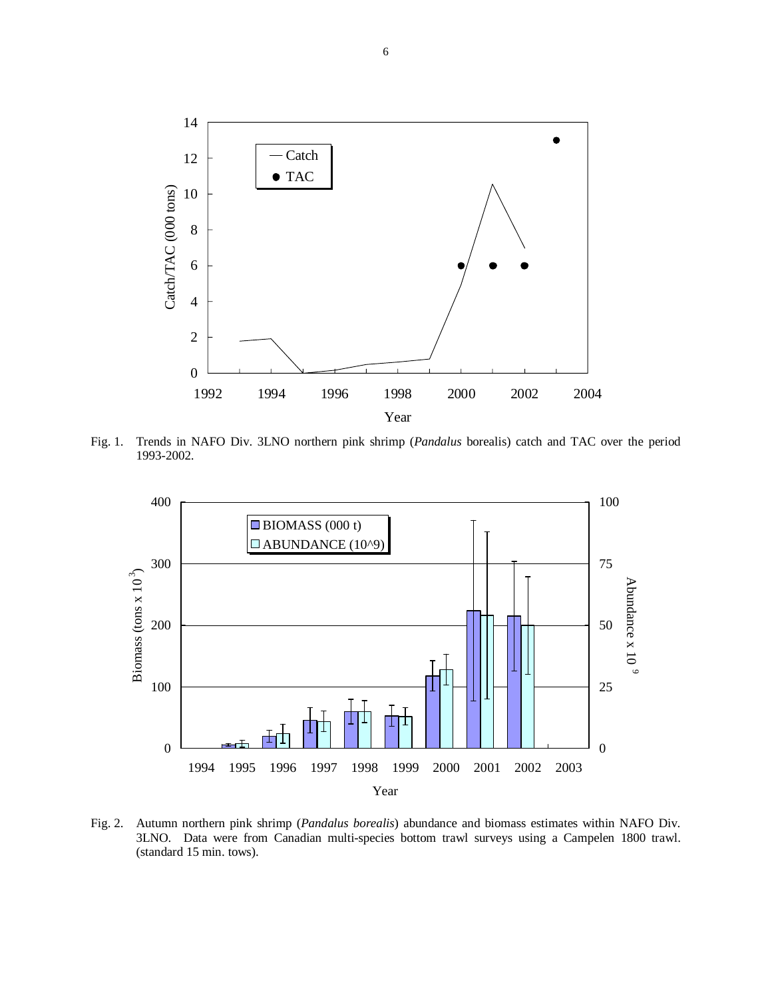

Fig. 1. Trends in NAFO Div. 3LNO northern pink shrimp (*Pandalus* borealis) catch and TAC over the period 1993-2002.



Fig. 2. Autumn northern pink shrimp (*Pandalus borealis*) abundance and biomass estimates within NAFO Div. 3LNO. Data were from Canadian multi-species bottom trawl surveys using a Campelen 1800 trawl. (standard 15 min. tows).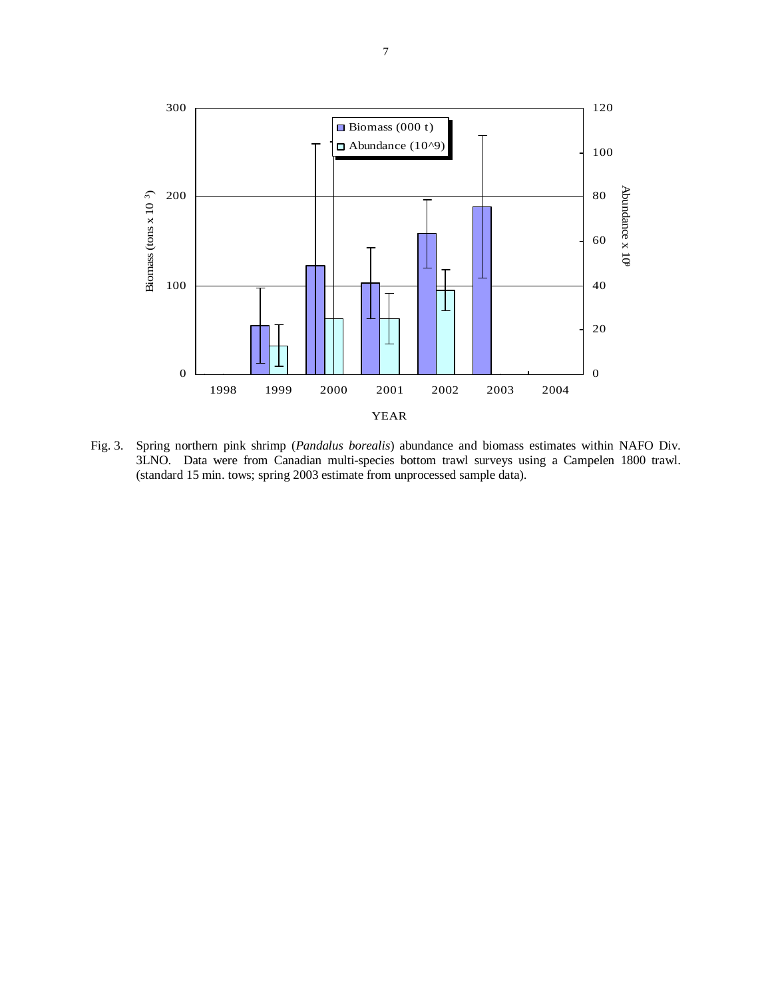

Fig. 3. Spring northern pink shrimp (*Pandalus borealis*) abundance and biomass estimates within NAFO Div. 3LNO. Data were from Canadian multi-species bottom trawl surveys using a Campelen 1800 trawl. (standard 15 min. tows; spring 2003 estimate from unprocessed sample data).